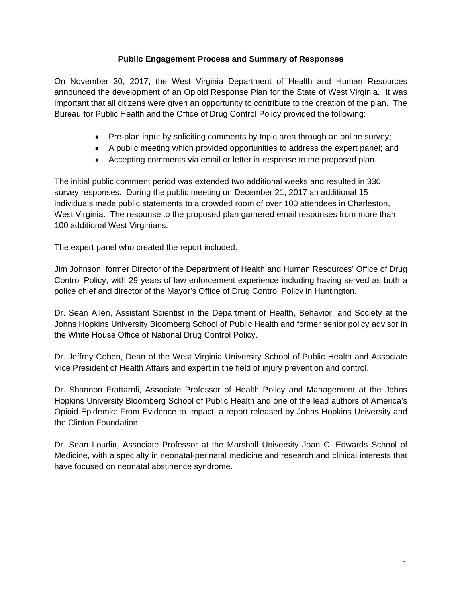## **Public Engagement Process and Summary of Responses**

On November 30, 2017, the West Virginia Department of Health and Human Resources announced the development of an Opioid Response Plan for the State of West Virginia. It was important that all citizens were given an opportunity to contribute to the creation of the plan. The Bureau for Public Health and the Office of Drug Control Policy provided the following:

- Pre-plan input by soliciting comments by topic area through an online survey;
- A public meeting which provided opportunities to address the expert panel; and
- Accepting comments via email or letter in response to the proposed plan.

The initial public comment period was extended two additional weeks and resulted in 330 survey responses. During the public meeting on December 21, 2017 an additional 15 individuals made public statements to a crowded room of over 100 attendees in Charleston, West Virginia. The response to the proposed plan garnered email responses from more than 100 additional West Virginians.

The expert panel who created the report included:

Jim Johnson, former Director of the Department of Health and Human Resources' Office of Drug Control Policy, with 29 years of law enforcement experience including having served as both a police chief and director of the Mayor's Office of Drug Control Policy in Huntington.

Dr. Sean Allen, Assistant Scientist in the Department of Health, Behavior, and Society at the Johns Hopkins University Bloomberg School of Public Health and former senior policy advisor in the White House Office of National Drug Control Policy.

Dr. Jeffrey Coben, Dean of the West Virginia University School of Public Health and Associate Vice President of Health Affairs and expert in the field of injury prevention and control.

Dr. Shannon Frattaroli, Associate Professor of Health Policy and Management at the Johns Hopkins University Bloomberg School of Public Health and one of the lead authors of America's Opioid Epidemic: From Evidence to Impact, a report released by Johns Hopkins University and the Clinton Foundation.

Dr. Sean Loudin, Associate Professor at the Marshall University Joan C. Edwards School of Medicine, with a specialty in neonatal-perinatal medicine and research and clinical interests that have focused on neonatal abstinence syndrome.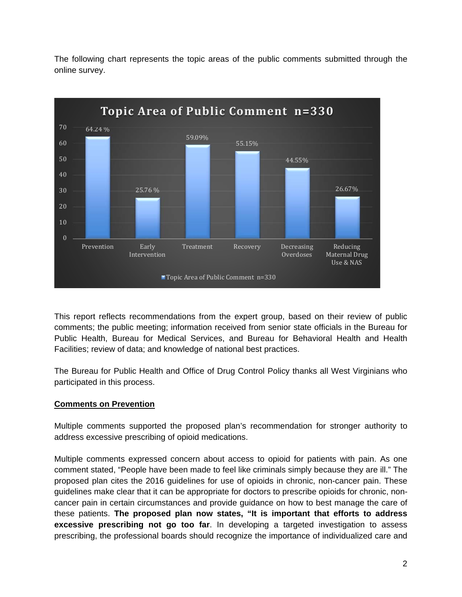

The following chart represents the topic areas of the public comments submitted through the online survey.

This report reflects recommendations from the expert group, based on their review of public comments; the public meeting; information received from senior state officials in the Bureau for Public Health, Bureau for Medical Services, and Bureau for Behavioral Health and Health Facilities; review of data; and knowledge of national best practices.

The Bureau for Public Health and Office of Drug Control Policy thanks all West Virginians who participated in this process.

# **Comments on Prevention**

Multiple comments supported the proposed plan's recommendation for stronger authority to address excessive prescribing of opioid medications.

Multiple comments expressed concern about access to opioid for patients with pain. As one comment stated, "People have been made to feel like criminals simply because they are ill." The proposed plan cites the 2016 guidelines for use of opioids in chronic, non-cancer pain. These guidelines make clear that it can be appropriate for doctors to prescribe opioids for chronic, noncancer pain in certain circumstances and provide guidance on how to best manage the care of these patients. **The proposed plan now states, "It is important that efforts to address excessive prescribing not go too far**. In developing a targeted investigation to assess prescribing, the professional boards should recognize the importance of individualized care and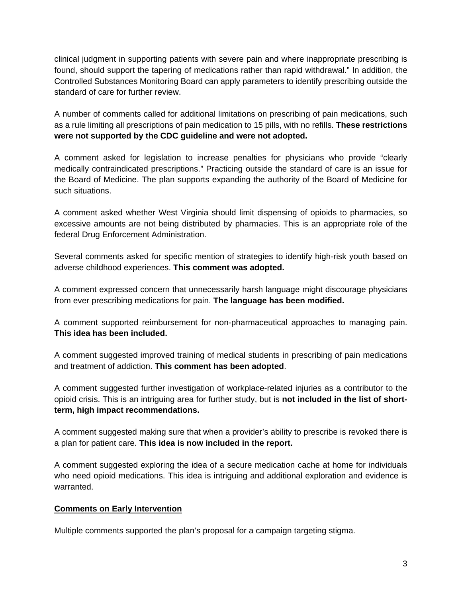clinical judgment in supporting patients with severe pain and where inappropriate prescribing is found, should support the tapering of medications rather than rapid withdrawal." In addition, the Controlled Substances Monitoring Board can apply parameters to identify prescribing outside the standard of care for further review.

A number of comments called for additional limitations on prescribing of pain medications, such as a rule limiting all prescriptions of pain medication to 15 pills, with no refills. **These restrictions were not supported by the CDC guideline and were not adopted.** 

A comment asked for legislation to increase penalties for physicians who provide "clearly medically contraindicated prescriptions." Practicing outside the standard of care is an issue for the Board of Medicine. The plan supports expanding the authority of the Board of Medicine for such situations.

A comment asked whether West Virginia should limit dispensing of opioids to pharmacies, so excessive amounts are not being distributed by pharmacies. This is an appropriate role of the federal Drug Enforcement Administration.

Several comments asked for specific mention of strategies to identify high-risk youth based on adverse childhood experiences. **This comment was adopted.**

A comment expressed concern that unnecessarily harsh language might discourage physicians from ever prescribing medications for pain. **The language has been modified.** 

A comment supported reimbursement for non-pharmaceutical approaches to managing pain. **This idea has been included.** 

A comment suggested improved training of medical students in prescribing of pain medications and treatment of addiction. **This comment has been adopted**.

A comment suggested further investigation of workplace-related injuries as a contributor to the opioid crisis. This is an intriguing area for further study, but is **not included in the list of shortterm, high impact recommendations.** 

A comment suggested making sure that when a provider's ability to prescribe is revoked there is a plan for patient care. **This idea is now included in the report.** 

A comment suggested exploring the idea of a secure medication cache at home for individuals who need opioid medications. This idea is intriguing and additional exploration and evidence is warranted.

# **Comments on Early Intervention**

Multiple comments supported the plan's proposal for a campaign targeting stigma.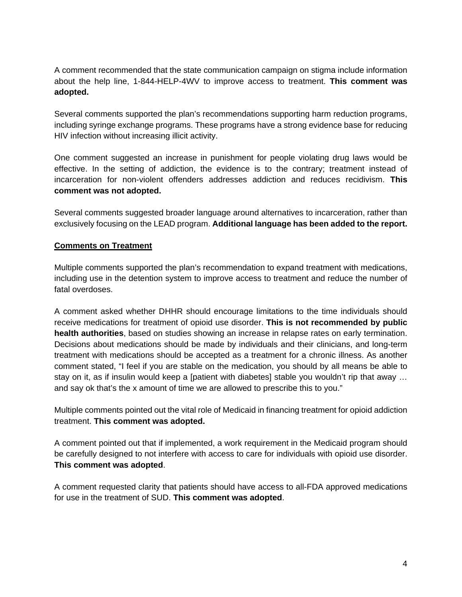A comment recommended that the state communication campaign on stigma include information about the help line, 1-844-HELP-4WV to improve access to treatment. **This comment was adopted.** 

Several comments supported the plan's recommendations supporting harm reduction programs, including syringe exchange programs. These programs have a strong evidence base for reducing HIV infection without increasing illicit activity.

One comment suggested an increase in punishment for people violating drug laws would be effective. In the setting of addiction, the evidence is to the contrary; treatment instead of incarceration for non-violent offenders addresses addiction and reduces recidivism. **This comment was not adopted.** 

Several comments suggested broader language around alternatives to incarceration, rather than exclusively focusing on the LEAD program. **Additional language has been added to the report.** 

# **Comments on Treatment**

Multiple comments supported the plan's recommendation to expand treatment with medications, including use in the detention system to improve access to treatment and reduce the number of fatal overdoses.

A comment asked whether DHHR should encourage limitations to the time individuals should receive medications for treatment of opioid use disorder. **This is not recommended by public health authorities**, based on studies showing an increase in relapse rates on early termination. Decisions about medications should be made by individuals and their clinicians, and long-term treatment with medications should be accepted as a treatment for a chronic illness. As another comment stated, "I feel if you are stable on the medication, you should by all means be able to stay on it, as if insulin would keep a [patient with diabetes] stable you wouldn't rip that away … and say ok that's the x amount of time we are allowed to prescribe this to you."

Multiple comments pointed out the vital role of Medicaid in financing treatment for opioid addiction treatment. **This comment was adopted.** 

A comment pointed out that if implemented, a work requirement in the Medicaid program should be carefully designed to not interfere with access to care for individuals with opioid use disorder. **This comment was adopted**.

A comment requested clarity that patients should have access to all-FDA approved medications for use in the treatment of SUD. **This comment was adopted**.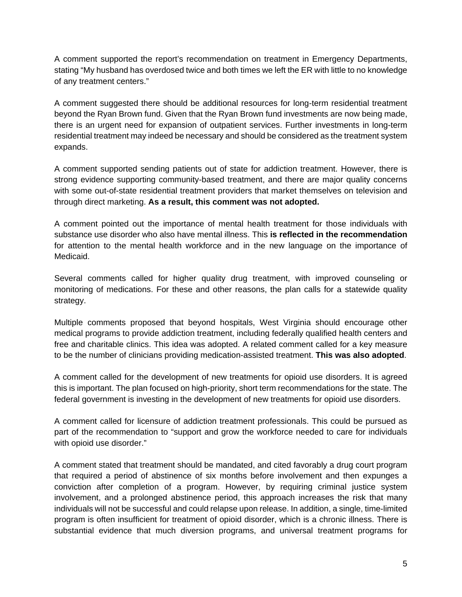A comment supported the report's recommendation on treatment in Emergency Departments, stating "My husband has overdosed twice and both times we left the ER with little to no knowledge of any treatment centers."

A comment suggested there should be additional resources for long-term residential treatment beyond the Ryan Brown fund. Given that the Ryan Brown fund investments are now being made, there is an urgent need for expansion of outpatient services. Further investments in long-term residential treatment may indeed be necessary and should be considered as the treatment system expands.

A comment supported sending patients out of state for addiction treatment. However, there is strong evidence supporting community-based treatment, and there are major quality concerns with some out-of-state residential treatment providers that market themselves on television and through direct marketing. **As a result, this comment was not adopted.**

A comment pointed out the importance of mental health treatment for those individuals with substance use disorder who also have mental illness. This **is reflected in the recommendation** for attention to the mental health workforce and in the new language on the importance of Medicaid.

Several comments called for higher quality drug treatment, with improved counseling or monitoring of medications. For these and other reasons, the plan calls for a statewide quality strategy.

Multiple comments proposed that beyond hospitals, West Virginia should encourage other medical programs to provide addiction treatment, including federally qualified health centers and free and charitable clinics. This idea was adopted. A related comment called for a key measure to be the number of clinicians providing medication-assisted treatment. **This was also adopted**.

A comment called for the development of new treatments for opioid use disorders. It is agreed this is important. The plan focused on high-priority, short term recommendations for the state. The federal government is investing in the development of new treatments for opioid use disorders.

A comment called for licensure of addiction treatment professionals. This could be pursued as part of the recommendation to "support and grow the workforce needed to care for individuals with opioid use disorder."

A comment stated that treatment should be mandated, and cited favorably a drug court program that required a period of abstinence of six months before involvement and then expunges a conviction after completion of a program. However, by requiring criminal justice system involvement, and a prolonged abstinence period, this approach increases the risk that many individuals will not be successful and could relapse upon release. In addition, a single, time-limited program is often insufficient for treatment of opioid disorder, which is a chronic illness. There is substantial evidence that much diversion programs, and universal treatment programs for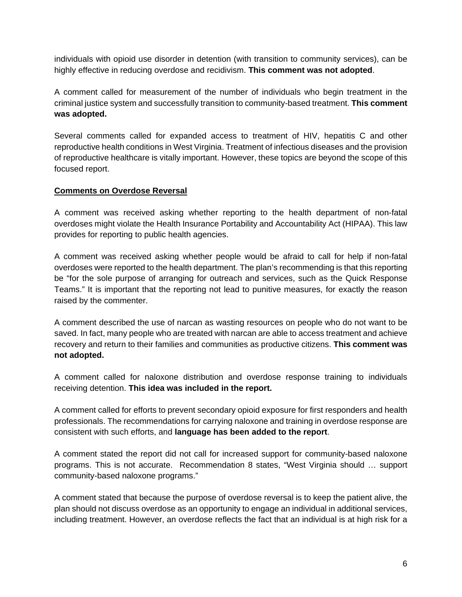individuals with opioid use disorder in detention (with transition to community services), can be highly effective in reducing overdose and recidivism. **This comment was not adopted**.

A comment called for measurement of the number of individuals who begin treatment in the criminal justice system and successfully transition to community-based treatment. **This comment was adopted.** 

Several comments called for expanded access to treatment of HIV, hepatitis C and other reproductive health conditions in West Virginia. Treatment of infectious diseases and the provision of reproductive healthcare is vitally important. However, these topics are beyond the scope of this focused report.

## **Comments on Overdose Reversal**

A comment was received asking whether reporting to the health department of non-fatal overdoses might violate the Health Insurance Portability and Accountability Act (HIPAA). This law provides for reporting to public health agencies.

A comment was received asking whether people would be afraid to call for help if non-fatal overdoses were reported to the health department. The plan's recommending is that this reporting be "for the sole purpose of arranging for outreach and services, such as the Quick Response Teams." It is important that the reporting not lead to punitive measures, for exactly the reason raised by the commenter.

A comment described the use of narcan as wasting resources on people who do not want to be saved. In fact, many people who are treated with narcan are able to access treatment and achieve recovery and return to their families and communities as productive citizens. **This comment was not adopted.** 

A comment called for naloxone distribution and overdose response training to individuals receiving detention. **This idea was included in the report.** 

A comment called for efforts to prevent secondary opioid exposure for first responders and health professionals. The recommendations for carrying naloxone and training in overdose response are consistent with such efforts, and **language has been added to the report**.

A comment stated the report did not call for increased support for community-based naloxone programs. This is not accurate. Recommendation 8 states, "West Virginia should … support community-based naloxone programs."

A comment stated that because the purpose of overdose reversal is to keep the patient alive, the plan should not discuss overdose as an opportunity to engage an individual in additional services, including treatment. However, an overdose reflects the fact that an individual is at high risk for a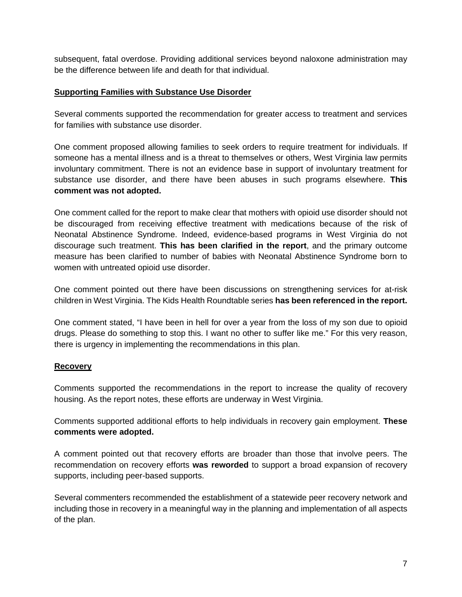subsequent, fatal overdose. Providing additional services beyond naloxone administration may be the difference between life and death for that individual.

### **Supporting Families with Substance Use Disorder**

Several comments supported the recommendation for greater access to treatment and services for families with substance use disorder.

One comment proposed allowing families to seek orders to require treatment for individuals. If someone has a mental illness and is a threat to themselves or others, West Virginia law permits involuntary commitment. There is not an evidence base in support of involuntary treatment for substance use disorder, and there have been abuses in such programs elsewhere. **This comment was not adopted.** 

One comment called for the report to make clear that mothers with opioid use disorder should not be discouraged from receiving effective treatment with medications because of the risk of Neonatal Abstinence Syndrome. Indeed, evidence-based programs in West Virginia do not discourage such treatment. **This has been clarified in the report**, and the primary outcome measure has been clarified to number of babies with Neonatal Abstinence Syndrome born to women with untreated opioid use disorder.

One comment pointed out there have been discussions on strengthening services for at-risk children in West Virginia. The Kids Health Roundtable series **has been referenced in the report.** 

One comment stated, "I have been in hell for over a year from the loss of my son due to opioid drugs. Please do something to stop this. I want no other to suffer like me." For this very reason, there is urgency in implementing the recommendations in this plan.

# **Recovery**

Comments supported the recommendations in the report to increase the quality of recovery housing. As the report notes, these efforts are underway in West Virginia.

Comments supported additional efforts to help individuals in recovery gain employment. **These comments were adopted.** 

A comment pointed out that recovery efforts are broader than those that involve peers. The recommendation on recovery efforts **was reworded** to support a broad expansion of recovery supports, including peer-based supports.

Several commenters recommended the establishment of a statewide peer recovery network and including those in recovery in a meaningful way in the planning and implementation of all aspects of the plan.